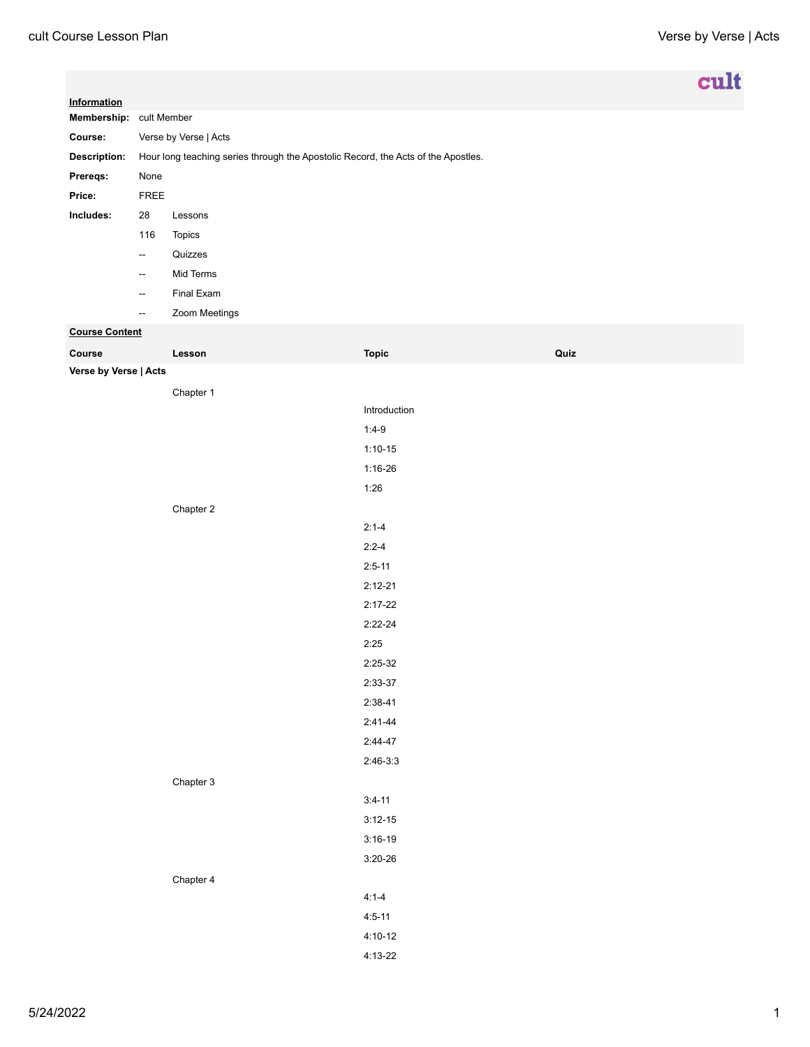|                       |                                                                                   |               |              |      | cult |  |
|-----------------------|-----------------------------------------------------------------------------------|---------------|--------------|------|------|--|
| <b>Information</b>    |                                                                                   |               |              |      |      |  |
|                       | Membership: cult Member                                                           |               |              |      |      |  |
| Course:               | Verse by Verse   Acts                                                             |               |              |      |      |  |
| Description:          | Hour long teaching series through the Apostolic Record, the Acts of the Apostles. |               |              |      |      |  |
| Prereqs:<br>Price:    | None<br>${\sf FREE}$                                                              |               |              |      |      |  |
| Includes:             | 28                                                                                | Lessons       |              |      |      |  |
|                       | 116                                                                               | Topics        |              |      |      |  |
|                       | $\overline{\phantom{a}}$                                                          | Quizzes       |              |      |      |  |
|                       | $\overline{\phantom{a}}$                                                          | Mid Terms     |              |      |      |  |
|                       | $\overline{\phantom{a}}$                                                          | Final Exam    |              |      |      |  |
|                       | $\frac{1}{2}$                                                                     | Zoom Meetings |              |      |      |  |
| <b>Course Content</b> |                                                                                   |               |              |      |      |  |
| Course                |                                                                                   | Lesson        | <b>Topic</b> | Quiz |      |  |
| Verse by Verse   Acts |                                                                                   |               |              |      |      |  |
|                       |                                                                                   | Chapter 1     |              |      |      |  |
|                       |                                                                                   |               | Introduction |      |      |  |
|                       |                                                                                   |               | $1:4-9$      |      |      |  |
|                       |                                                                                   |               | $1:10-15$    |      |      |  |
|                       |                                                                                   |               | $1:16-26$    |      |      |  |
|                       |                                                                                   |               | 1:26         |      |      |  |
|                       |                                                                                   | Chapter 2     |              |      |      |  |
|                       |                                                                                   |               | $2:1 - 4$    |      |      |  |
|                       |                                                                                   |               | $2:2-4$      |      |      |  |
|                       |                                                                                   |               | $2:5 - 11$   |      |      |  |
|                       |                                                                                   |               | $2:12-21$    |      |      |  |
|                       |                                                                                   |               | $2:17-22$    |      |      |  |
|                       |                                                                                   |               | $2:22-24$    |      |      |  |
|                       |                                                                                   |               | 2:25         |      |      |  |
|                       |                                                                                   |               | $2:25-32$    |      |      |  |
|                       |                                                                                   |               | $2:33-37$    |      |      |  |
|                       |                                                                                   |               | $2:38-41$    |      |      |  |
|                       |                                                                                   |               | $2:41-44$    |      |      |  |
|                       |                                                                                   |               | $2:44-47$    |      |      |  |
|                       |                                                                                   |               | $2:46-3:3$   |      |      |  |
|                       |                                                                                   | Chapter 3     |              |      |      |  |
|                       |                                                                                   |               | $3:4-11$     |      |      |  |
|                       |                                                                                   |               | $3:12-15$    |      |      |  |
|                       |                                                                                   |               | $3:16-19$    |      |      |  |
|                       |                                                                                   |               | $3:20-26$    |      |      |  |
|                       |                                                                                   | Chapter 4     | $4:1 - 4$    |      |      |  |
|                       |                                                                                   |               | $4:5 - 11$   |      |      |  |
|                       |                                                                                   |               | $4:10-12$    |      |      |  |
|                       |                                                                                   |               |              |      |      |  |

4:13-22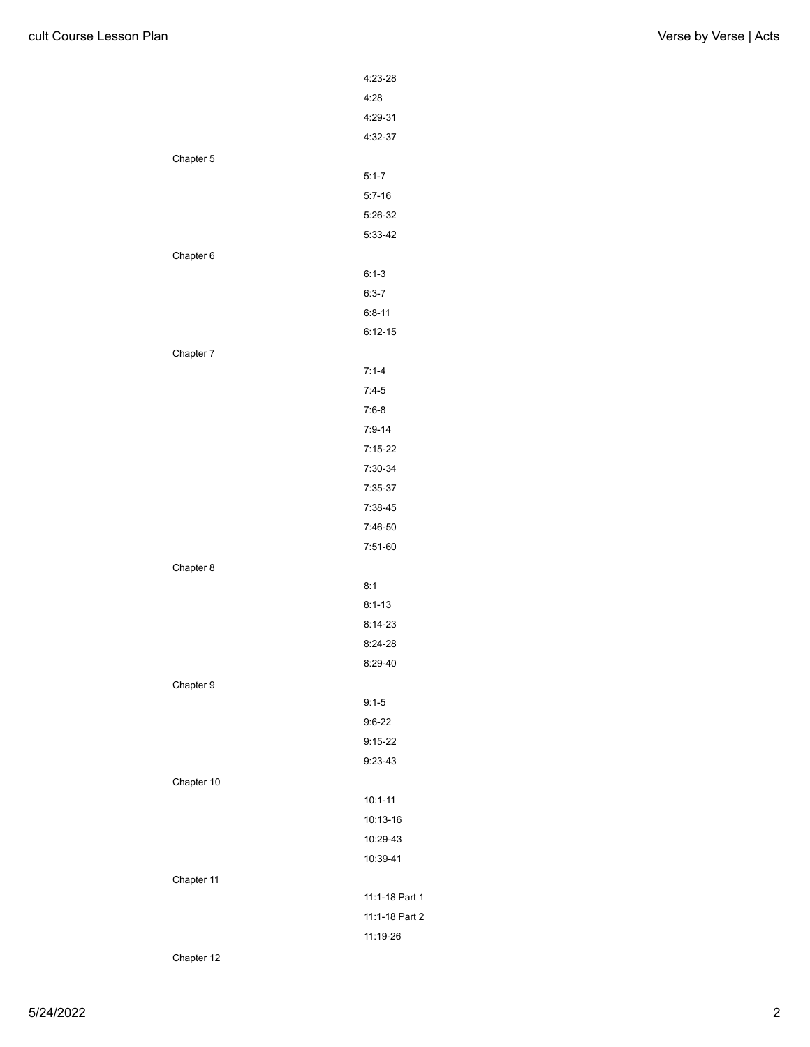|            | 4:23-28        |
|------------|----------------|
|            | 4:28           |
|            | 4:29-31        |
|            | 4:32-37        |
| Chapter 5  |                |
|            | $5:1 - 7$      |
|            | $5:7 - 16$     |
|            | 5:26-32        |
|            | 5:33-42        |
| Chapter 6  |                |
|            | $6:1-3$        |
|            | $6:3 - 7$      |
|            | $6:8 - 11$     |
|            | $6:12-15$      |
| Chapter 7  |                |
|            | $7:1 - 4$      |
|            | $7:4-5$        |
|            | $7:6-8$        |
|            | $7:9-14$       |
|            | $7:15-22$      |
|            | 7:30-34        |
|            | 7:35-37        |
|            | $7:38-45$      |
|            | 7:46-50        |
|            | 7:51-60        |
| Chapter 8  |                |
|            | 8:1            |
|            | $8:1 - 13$     |
|            | $8:14-23$      |
|            | 8:24-28        |
|            | 8:29-40        |
| Chapter 9  |                |
|            | $9:1 - 5$      |
|            | $9:6 - 22$     |
|            | $9:15 - 22$    |
|            | $9:23-43$      |
| Chapter 10 |                |
|            | $10:1 - 11$    |
|            | 10:13-16       |
|            | 10:29-43       |
|            | 10:39-41       |
| Chapter 11 |                |
|            | 11:1-18 Part 1 |
|            | 11:1-18 Part 2 |
|            | 11:19-26       |
| Chapter 12 |                |

5/24/2022 2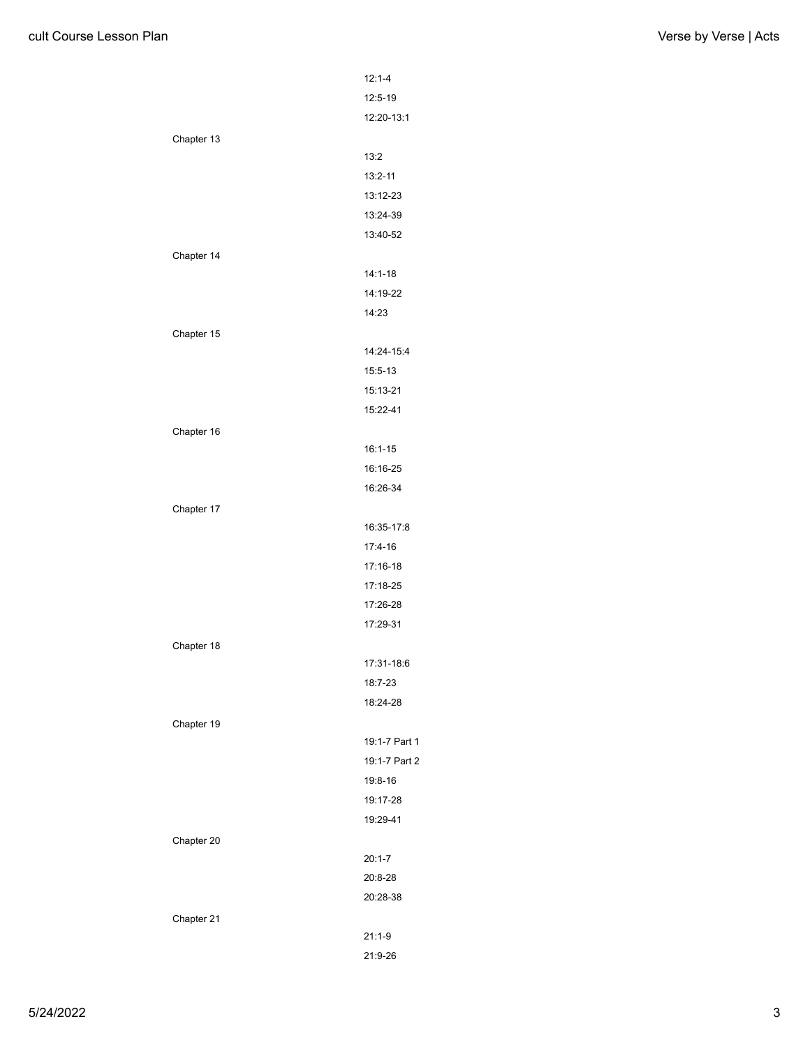|            | $12:1 - 4$    |
|------------|---------------|
|            | 12:5-19       |
|            | 12:20-13:1    |
| Chapter 13 |               |
|            | 13:2          |
|            | $13:2 - 11$   |
|            | 13:12-23      |
|            | 13:24-39      |
|            | 13:40-52      |
| Chapter 14 |               |
|            | $14:1-18$     |
|            | 14:19-22      |
|            | 14:23         |
| Chapter 15 |               |
|            | 14:24-15:4    |
|            | 15:5-13       |
|            | 15:13-21      |
|            | 15:22-41      |
| Chapter 16 |               |
|            | $16:1 - 15$   |
|            | 16:16-25      |
|            | 16:26-34      |
|            |               |
| Chapter 17 | 16:35-17:8    |
|            | 17:4-16       |
|            | 17:16-18      |
|            | 17:18-25      |
|            | 17:26-28      |
|            | 17:29-31      |
|            |               |
| Chapter 18 | 17:31-18:6    |
|            | 18:7-23       |
|            | 18:24-28      |
|            |               |
| Chapter 19 | 19:1-7 Part 1 |
|            | 19:1-7 Part 2 |
|            | 19:8-16       |
|            | 19:17-28      |
|            |               |
|            | 19:29-41      |
| Chapter 20 |               |
|            | $20:1 - 7$    |
|            | 20:8-28       |
|            | 20:28-38      |
| Chapter 21 |               |
|            | $21:1-9$      |
|            | 21:9-26       |